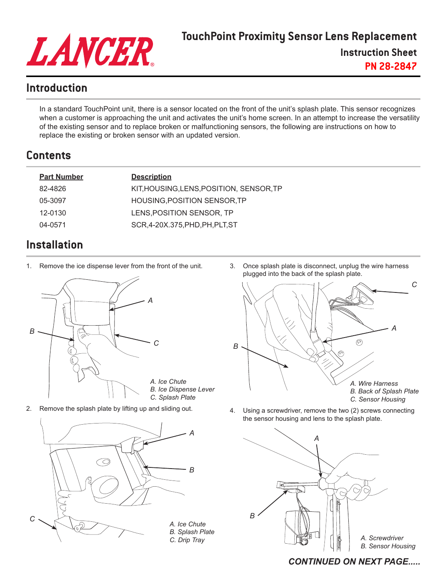

## **TouchPoint Proximity Sensor Lens Replacement**

**Instruction Sheet**

**PN 28-2847**

## **Introduction**

In a standard TouchPoint unit, there is a sensor located on the front of the unit's splash plate. This sensor recognizes when a customer is approaching the unit and activates the unit's home screen. In an attempt to increase the versatility of the existing sensor and to replace broken or malfunctioning sensors, the following are instructions on how to replace the existing or broken sensor with an updated version.

# **Contents**

| <b>Part Number</b> | <b>Description</b>                       |
|--------------------|------------------------------------------|
| 82-4826            | KIT, HOUSING, LENS, POSITION, SENSOR, TP |
| 05-3097            | HOUSING, POSITION SENSOR, TP             |
| 12-0130            | LENS, POSITION SENSOR, TP                |
| 04-0571            | SCR, 4-20X.375, PHD, PH, PLT, ST         |
|                    |                                          |

# **Installation**

1. Remove the ice dispense lever from the front of the unit.



2. Remove the splash plate by lifting up and sliding out.



3. Once splash plate is disconnect, unplug the wire harness plugged into the back of the splash plate.



4. Using a screwdriver, remove the two (2) screws connecting the sensor housing and lens to the splash plate.



### *CONTINUED ON NEXT PAGE.....*